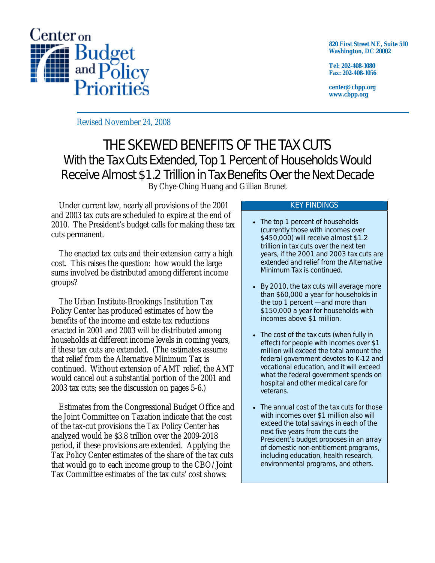

**820 First Street NE, Suite 510 Washington, DC 20002** 

**Tel: 202-408-1080 Fax: 202-408-1056** 

**center@cbpp.org www.cbpp.org** 

Revised November 24, 2008

# THE SKEWED BENEFITS OF THE TAX CUTS With the Tax Cuts Extended, Top 1 Percent of Households Would Receive Almost \$1.2 Trillion in Tax Benefits Over the Next Decade By Chye-Ching Huang and Gillian Brunet

 Under current law, nearly all provisions of the 2001 and 2003 tax cuts are scheduled to expire at the end of 2010. The President's budget calls for making these tax cuts permanent.

 The enacted tax cuts and their extension carry a high cost. This raises the question: how would the large sums involved be distributed among different income groups?

 The Urban Institute-Brookings Institution Tax Policy Center has produced estimates of how the benefits of the income and estate tax reductions enacted in 2001 and 2003 will be distributed among households at different income levels in coming years, if these tax cuts are extended. (The estimates assume that relief from the Alternative Minimum Tax is continued. Without extension of AMT relief, the AMT would cancel out a substantial portion of the 2001 and 2003 tax cuts; see the discussion on pages 5-6.)

 Estimates from the Congressional Budget Office and the Joint Committee on Taxation indicate that the cost of the tax-cut provisions the Tax Policy Center has analyzed would be \$3.8 trillion over the 2009-2018 period, if these provisions are extended. Applying the Tax Policy Center estimates of the share of the tax cuts that would go to each income group to the CBO/Joint Tax Committee estimates of the tax cuts' cost shows:

#### KEY FINDINGS

- The top 1 percent of households (currently those with incomes over \$450,000) will receive almost *\$1.2 trillion* in tax cuts over the next ten years, if the 2001 and 2003 tax cuts are extended and relief from the Alternative Minimum Tax is continued.
- By 2010, the tax cuts will average more than \$60,000 a year for households in the top 1 percent — and more than \$150,000 a year for households with incomes above \$1 million.
- The cost of the tax cuts (when fully in effect) for people with incomes over \$1 million will exceed the total amount the federal government devotes to K-12 and vocational education, and it will exceed what the federal government spends on hospital and other medical care for veterans.
- The annual cost of the tax cuts for those with incomes over \$1 million also will exceed the total savings in each of the next five years from the cuts the President's budget proposes in an array of domestic non-entitlement programs, including education, health research, environmental programs, and others.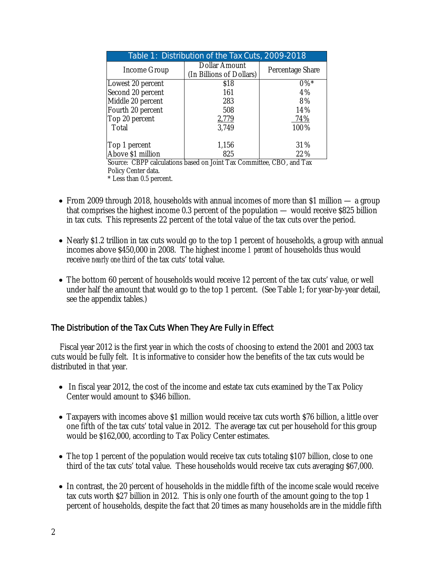| Table 1: Distribution of the Tax Cuts, 2009-2018 |                                           |                  |  |  |  |  |  |  |
|--------------------------------------------------|-------------------------------------------|------------------|--|--|--|--|--|--|
| Income Group                                     | Dollar Amount<br>(In Billions of Dollars) | Percentage Share |  |  |  |  |  |  |
| Lowest 20 percent                                | \$18                                      | $0\%$ *          |  |  |  |  |  |  |
| Second 20 percent                                | 161                                       | 4%               |  |  |  |  |  |  |
| Middle 20 percent                                | 283                                       | 8%               |  |  |  |  |  |  |
| Fourth 20 percent                                | 508                                       | 14%              |  |  |  |  |  |  |
| Top 20 percent                                   | 2,779                                     | 74%              |  |  |  |  |  |  |
| Total                                            | 3,749                                     | 100%             |  |  |  |  |  |  |
| Top 1 percent                                    | 1,156                                     | 31%              |  |  |  |  |  |  |
| Above \$1 million                                | 825                                       | 22%              |  |  |  |  |  |  |

Source: CBPP calculations based on Joint Tax Committee, CBO, and Tax Policy Center data. \* Less than 0.5 percent.

- From 2009 through 2018, households with annual incomes of more than \$1 million a group that comprises the highest income 0.3 percent of the population — would receive \$825 billion in tax cuts. This represents 22 percent of the total value of the tax cuts over the period.
- Nearly \$1.2 trillion in tax cuts would go to the top 1 percent of households, a group with annual incomes above \$450,000 in 2008. The highest income *1 percent* of households thus would receive *nearly one third* of the tax cuts' total value.
- The bottom 60 percent of households would receive 12 percent of the tax cuts' value, or well under half the amount that would go to the top 1 percent. (See Table 1; for year-by-year detail, see the appendix tables.)

# The Distribution of the Tax Cuts When They Are Fully in Effect

Fiscal year 2012 is the first year in which the costs of choosing to extend the 2001 and 2003 tax cuts would be fully felt. It is informative to consider how the benefits of the tax cuts would be distributed in that year.

- In fiscal year 2012, the cost of the income and estate tax cuts examined by the Tax Policy Center would amount to \$346 billion.
- Taxpayers with incomes above \$1 million would receive tax cuts worth \$76 billion, a little over one fifth of the tax cuts' total value in 2012. The average tax cut per household for this group would be \$162,000, according to Tax Policy Center estimates.
- The top 1 percent of the population would receive tax cuts totaling \$107 billion, close to one third of the tax cuts' total value. These households would receive tax cuts averaging \$67,000.
- In contrast, the 20 percent of households in the middle fifth of the income scale would receive tax cuts worth \$27 billion in 2012. This is only one fourth of the amount going to the top 1 percent of households, despite the fact that 20 times as many households are in the middle fifth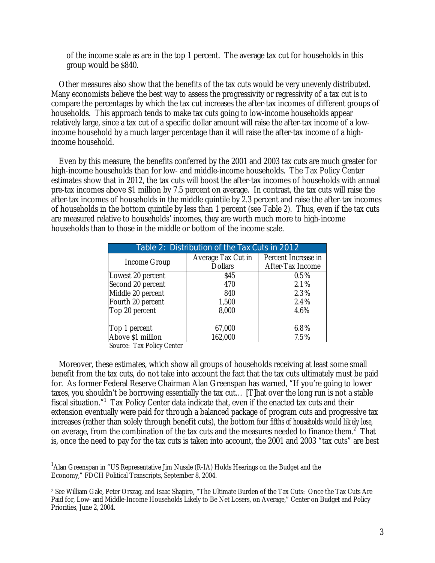of the income scale as are in the top 1 percent. The average tax cut for households in this group would be \$840.

Other measures also show that the benefits of the tax cuts would be very unevenly distributed. Many economists believe the best way to assess the progressivity or regressivity of a tax cut is to compare the percentages by which the tax cut increases the after-tax incomes of different groups of households. This approach tends to make tax cuts going to low-income households appear relatively large, since a tax cut of a specific dollar amount will raise the after-tax income of a lowincome household by a much larger percentage than it will raise the after-tax income of a highincome household.

Even by this measure, the benefits conferred by the 2001 and 2003 tax cuts are much greater for high-income households than for low- and middle-income households. The Tax Policy Center estimates show that in 2012, the tax cuts will boost the after-tax incomes of households with annual pre-tax incomes above \$1 million by 7.5 percent on average. In contrast, the tax cuts will raise the after-tax incomes of households in the middle quintile by 2.3 percent and raise the after-tax incomes of households in the bottom quintile by less than 1 percent (see Table 2). Thus, even if the tax cuts are measured relative to households' incomes, they are worth much more to high-income households than to those in the middle or bottom of the income scale.

| Table 2: Distribution of the Tax Cuts in 2012 |                    |                     |  |  |  |  |  |  |  |
|-----------------------------------------------|--------------------|---------------------|--|--|--|--|--|--|--|
|                                               | Average Tax Cut in | Percent Increase in |  |  |  |  |  |  |  |
| Income Group                                  | <b>Dollars</b>     | After-Tax Income    |  |  |  |  |  |  |  |
| Lowest 20 percent                             | \$45               | $0.5\%$             |  |  |  |  |  |  |  |
| Second 20 percent                             | 470                | 2.1%                |  |  |  |  |  |  |  |
| Middle 20 percent                             | 840                | 2.3%                |  |  |  |  |  |  |  |
| Fourth 20 percent                             | 1,500              | 2.4%                |  |  |  |  |  |  |  |
| Top 20 percent                                | 8,000              | 4.6%                |  |  |  |  |  |  |  |
|                                               |                    |                     |  |  |  |  |  |  |  |
| Top 1 percent                                 | 67,000             | 6.8%                |  |  |  |  |  |  |  |
| Above \$1 million                             | 162,000            | 7.5%                |  |  |  |  |  |  |  |

Source: Tax Policy Center

-

Moreover, these estimates, which show all groups of households receiving at least some small benefit from the tax cuts, do not take into account the fact that the tax cuts ultimately must be paid for. As former Federal Reserve Chairman Alan Greenspan has warned, "If you're going to lower taxes, you shouldn't be borrowing essentially the tax cut… [T]hat over the long run is not a stable fiscal situation."1 Tax Policy Center data indicate that, even if the enacted tax cuts and their extension eventually were paid for through a balanced package of program cuts and progressive tax increases (rather than solely through benefit cuts), the bottom *four fifths of households would likely lose*, on average, from the combination of the tax cuts and the measures needed to finance them.<sup>2</sup> That is, once the need to pay for the tax cuts is taken into account, the 2001 and 2003 "tax cuts" are best

<sup>&</sup>lt;sup>1</sup> Alan Greenspan in "US Representative Jim Nussle (R-IA) Holds Hearings on the Budget and the Economy," FDCH Political Transcripts, September 8, 2004.

<sup>2</sup> See William Gale, Peter Orszag, and Isaac Shapiro, "The Ultimate Burden of the Tax Cuts: Once the Tax Cuts Are Paid for, Low- and Middle-Income Households Likely to Be Net Losers, on Average," Center on Budget and Policy Priorities, June 2, 2004.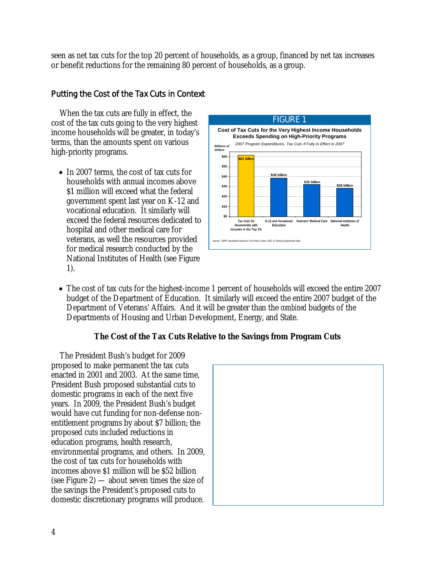seen as net tax cuts for the top 20 percent of households, as a group, financed by net tax increases or benefit reductions for the remaining 80 percent of households, as a group.

# Putting the Cost of the Tax Cuts in Context

When the tax cuts are fully in effect, the cost of the tax cuts going to the very highest income households will be greater, in today's terms, than the amounts spent on various high-priority programs.

• In 2007 terms, the cost of tax cuts for households with annual incomes above \$1 million will exceed what the federal government spent last year on K-12 and vocational education. It similarly will exceed the federal resources dedicated to hospital and other medical care for veterans, as well the resources provided for medical research conducted by the National Institutes of Health (see Figure 1).



• The cost of tax cuts for the highest-income 1 percent of households will exceed the entire 2007 budget of the Department of Education. It similarly will exceed the entire 2007 budget of the Department of Veterans' Affairs. And it will be greater than the *combined* budgets of the Departments of Housing and Urban Development, Energy, and State.

### **The Cost of the Tax Cuts Relative to the Savings from Program Cuts**

The President Bush's budget for 2009 proposed to make permanent the tax cuts enacted in 2001 and 2003. At the same time, President Bush proposed substantial cuts to domestic programs in each of the next five years. In 2009, the President Bush's budget would have cut funding for non-defense nonentitlement programs by about \$7 billion; the proposed cuts included reductions in education programs, health research, environmental programs, and others. In 2009, the cost of tax cuts for households with incomes above \$1 million will be \$52 billion (see Figure 2) — about seven times the size of the savings the President's proposed cuts to domestic discretionary programs will produce.

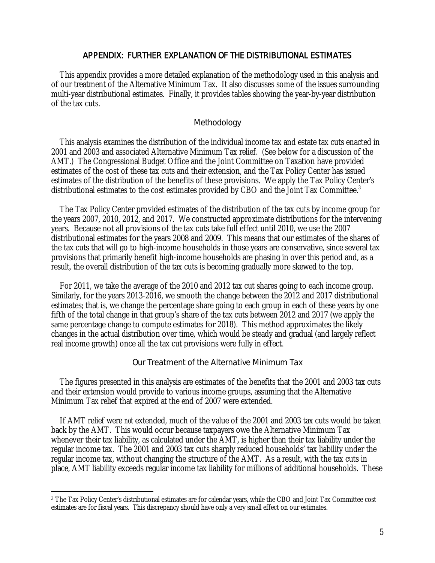#### APPENDIX: FURTHER EXPLANATION OF THE DISTRIBUTIONAL ESTIMATES

This appendix provides a more detailed explanation of the methodology used in this analysis and of our treatment of the Alternative Minimum Tax. It also discusses some of the issues surrounding multi-year distributional estimates. Finally, it provides tables showing the year-by-year distribution of the tax cuts.

#### Methodology

This analysis examines the distribution of the individual income tax and estate tax cuts enacted in 2001 and 2003 and associated Alternative Minimum Tax relief. (See below for a discussion of the AMT.) The Congressional Budget Office and the Joint Committee on Taxation have provided estimates of the cost of these tax cuts and their extension, and the Tax Policy Center has issued estimates of the distribution of the benefits of these provisions. We apply the Tax Policy Center's distributional estimates to the cost estimates provided by CBO and the Joint Tax Committee.<sup>3</sup>

The Tax Policy Center provided estimates of the distribution of the tax cuts by income group for the years 2007, 2010, 2012, and 2017. We constructed approximate distributions for the intervening years. Because not all provisions of the tax cuts take full effect until 2010, we use the 2007 distributional estimates for the years 2008 and 2009. This means that our estimates of the shares of the tax cuts that will go to high-income households in those years are conservative, since several tax provisions that primarily benefit high-income households are phasing in over this period and, as a result, the overall distribution of the tax cuts is becoming gradually more skewed to the top.

For 2011, we take the average of the 2010 and 2012 tax cut shares going to each income group. Similarly, for the years 2013-2016, we smooth the change between the 2012 and 2017 distributional estimates; that is, we change the percentage share going to each group in each of these years by one fifth of the total change in that group's share of the tax cuts between 2012 and 2017 (we apply the same percentage change to compute estimates for 2018). This method approximates the likely changes in the actual distribution over time, which would be steady and gradual (and largely reflect real income growth) once all the tax cut provisions were fully in effect.

#### Our Treatment of the Alternative Minimum Tax

The figures presented in this analysis are estimates of the benefits that the 2001 and 2003 tax cuts and their extension would provide to various income groups, assuming that the Alternative Minimum Tax relief that expired at the end of 2007 were extended.

If AMT relief were *not* extended, much of the value of the 2001 and 2003 tax cuts would be taken back by the AMT. This would occur because taxpayers owe the Alternative Minimum Tax whenever their tax liability, as calculated under the AMT, is higher than their tax liability under the regular income tax. The 2001 and 2003 tax cuts sharply reduced households' tax liability under the regular income tax, without changing the structure of the AMT. As a result, with the tax cuts in place, AMT liability exceeds regular income tax liability for millions of additional households. These

 $\overline{a}$ 

<sup>3</sup> The Tax Policy Center's distributional estimates are for calendar years, while the CBO and Joint Tax Committee cost estimates are for fiscal years. This discrepancy should have only a very small effect on our estimates.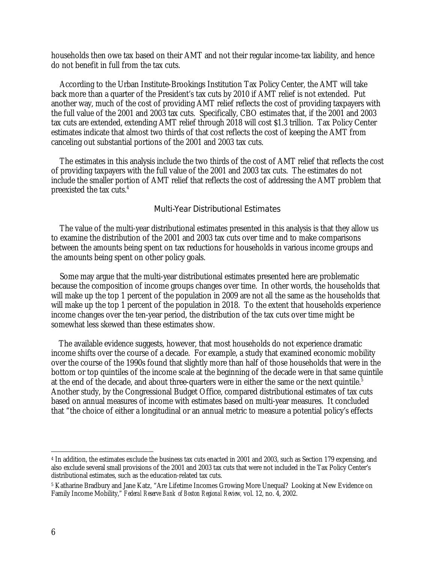households then owe tax based on their AMT and not their regular income-tax liability, and hence do not benefit in full from the tax cuts.

According to the Urban Institute-Brookings Institution Tax Policy Center, the AMT will take back more than a quarter of the President's tax cuts by 2010 if AMT relief is not extended. Put another way, much of the cost of providing AMT relief reflects the cost of providing taxpayers with the full value of the 2001 and 2003 tax cuts. Specifically, CBO estimates that, if the 2001 and 2003 tax cuts are extended, extending AMT relief through 2018 will cost \$1.3 trillion. Tax Policy Center estimates indicate that almost two thirds of that cost reflects the cost of keeping the AMT from canceling out substantial portions of the 2001 and 2003 tax cuts.

The estimates in this analysis include the two thirds of the cost of AMT relief that reflects the cost of providing taxpayers with the full value of the 2001 and 2003 tax cuts. The estimates do not include the smaller portion of AMT relief that reflects the cost of addressing the AMT problem that preexisted the tax cuts.<sup>4</sup>

#### Multi-Year Distributional Estimates

The value of the multi-year distributional estimates presented in this analysis is that they allow us to examine the distribution of the 2001 and 2003 tax cuts over time and to make comparisons between the amounts being spent on tax reductions for households in various income groups and the amounts being spent on other policy goals.

Some may argue that the multi-year distributional estimates presented here are problematic because the composition of income groups changes over time. In other words, the households that will make up the top 1 percent of the population in 2009 are not all the same as the households that will make up the top 1 percent of the population in 2018. To the extent that households experience income changes over the ten-year period, the distribution of the tax cuts over time might be somewhat less skewed than these estimates show.

 The available evidence suggests, however, that most households do not experience dramatic income shifts over the course of a decade. For example, a study that examined economic mobility over the course of the 1990s found that slightly more than half of those households that were in the bottom or top quintiles of the income scale at the beginning of the decade were in that same quintile at the end of the decade, and about three-quarters were in either the same or the next quintile.<sup>5</sup> Another study, by the Congressional Budget Office, compared distributional estimates of tax cuts based on annual measures of income with estimates based on multi-year measures. It concluded that "the choice of either a longitudinal or an annual metric to measure a potential policy's effects

-

<sup>4</sup> In addition, the estimates exclude the business tax cuts enacted in 2001 and 2003, such as Section 179 expensing, and also exclude several small provisions of the 2001 and 2003 tax cuts that were not included in the Tax Policy Center's distributional estimates, such as the education-related tax cuts.

<sup>5</sup> Katharine Bradbury and Jane Katz, "Are Lifetime Incomes Growing More Unequal? Looking at New Evidence on Family Income Mobility," *Federal Reserve Bank of Boston Regional Review,* vol. 12, no. 4, 2002.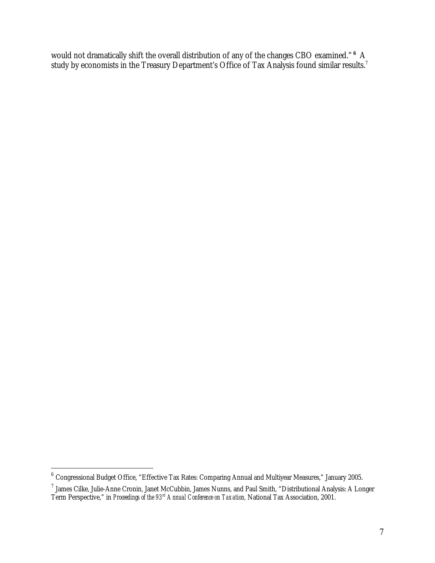would not dramatically shift the overall distribution of any of the changes CBO examined." **6** A study by economists in the Treasury Department's Office of Tax Analysis found similar results.<sup>7</sup>

-

 $^6$  Congressional Budget Office, "Effective Tax Rates: Comparing Annual and Multiyear Measures," January 2005.

 $^7$  James Cilke, Julie-Anne Cronin, Janet McCubbin, James Nunns, and Paul Smith, "Distributional Analysis: A Longer Term Perspective," in *Proceedings of the 93rd Annual Conference on Taxation,* National Tax Association, 2001.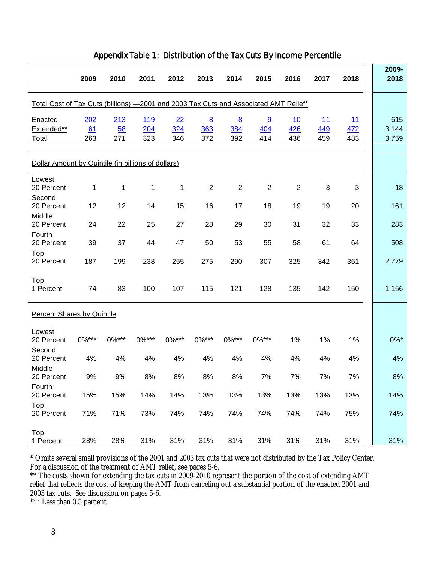|                                                                                      | 2009      | 2010      | 2011       | 2012      | 2013           | 2014           | 2015           | 2016           | 2017         | 2018      | 2009-<br>2018 |
|--------------------------------------------------------------------------------------|-----------|-----------|------------|-----------|----------------|----------------|----------------|----------------|--------------|-----------|---------------|
| Total Cost of Tax Cuts (billions) -2001 and 2003 Tax Cuts and Associated AMT Relief* |           |           |            |           |                |                |                |                |              |           |               |
| Enacted<br>Extended**                                                                | 202<br>61 | 213<br>58 | 119<br>204 | 22<br>324 | 8<br>363       | 8<br>384       | 9<br>404       | 10<br>426      | 11<br>449    | 11<br>472 | 615<br>3,144  |
| Total                                                                                | 263       | 271       | 323        | 346       | 372            | 392            | 414            | 436            | 459          | 483       | 3,759         |
| Dollar Amount by Quintile (in billions of dollars)                                   |           |           |            |           |                |                |                |                |              |           |               |
| Lowest<br>20 Percent                                                                 | 1         | 1         | 1          | 1         | $\overline{2}$ | $\overline{2}$ | $\overline{2}$ | $\overline{2}$ | $\mathbf{3}$ | 3         | 18            |
| Second<br>20 Percent<br>Middle                                                       | 12        | 12        | 14         | 15        | 16             | 17             | 18             | 19             | 19           | 20        | 161           |
| 20 Percent<br>Fourth                                                                 | 24        | 22        | 25         | 27        | 28             | 29             | 30             | 31             | 32           | 33        | 283           |
| 20 Percent                                                                           | 39        | 37        | 44         | 47        | 50             | 53             | 55             | 58             | 61           | 64        | 508           |
| Top<br>20 Percent                                                                    | 187       | 199       | 238        | 255       | 275            | 290            | 307            | 325            | 342          | 361       | 2,779         |
| Top<br>1 Percent                                                                     | 74        | 83        | 100        | 107       | 115            | 121            | 128            | 135            | 142          | 150       | 1,156         |
| <b>Percent Shares by Quintile</b>                                                    |           |           |            |           |                |                |                |                |              |           |               |
| Lowest<br>20 Percent                                                                 | 0%***     | $0\%***$  | 0%***      | 0%***     | 0%***          | 0%***          | 0%***          | 1%             | 1%           | 1%        | $0\%$ *       |
| Second<br>20 Percent                                                                 | 4%        | 4%        | 4%         | 4%        | 4%             | 4%             | 4%             | 4%             | 4%           | 4%        | 4%            |
| Middle<br>20 Percent                                                                 | 9%        | 9%        | 8%         | 8%        | 8%             | 8%             | 7%             | 7%             | 7%           | 7%        | 8%            |
| Fourth<br>20 Percent                                                                 | 15%       | 15%       | 14%        | 14%       | 13%            | 13%            | 13%            | 13%            | 13%          | 13%       | 14%           |
| Top<br>20 Percent                                                                    | 71%       | 71%       | 73%        | 74%       | 74%            | 74%            | 74%            | 74%            | 74%          | 75%       | 74%           |
| Top<br>1 Percent                                                                     | 28%       | 28%       | 31%        | 31%       | 31%            | 31%            | 31%            | 31%            | 31%          | 31%       | 31%           |

### Appendix Table 1: Distribution of the Tax Cuts By Income Percentile

\* Omits several small provisions of the 2001 and 2003 tax cuts that were not distributed by the Tax Policy Center. For a discussion of the treatment of AMT relief, see pages 5-6.

\*\* The costs shown for extending the tax cuts in 2009-2010 represent the portion of the cost of extending AMT relief that reflects the cost of keeping the AMT from canceling out a substantial portion of the enacted 2001 and 2003 tax cuts. See discussion on pages 5-6.

\*\*\* Less than 0.5 percent.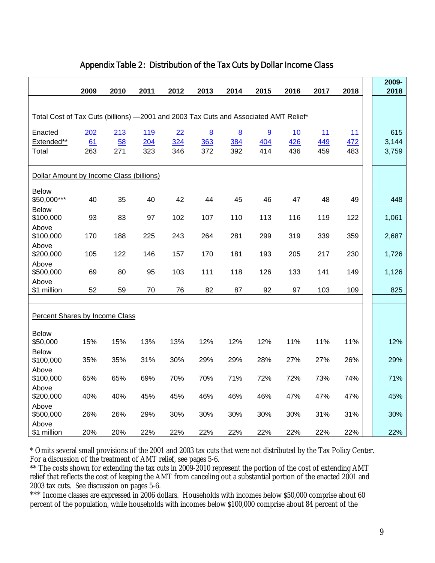|                                                                                      | 2009 | 2010 | 2011 | 2012 | 2013             | 2014 | 2015 | 2016 | 2017 | 2018 | 2009-<br>2018 |
|--------------------------------------------------------------------------------------|------|------|------|------|------------------|------|------|------|------|------|---------------|
| Total Cost of Tax Cuts (billions) -2001 and 2003 Tax Cuts and Associated AMT Relief* |      |      |      |      |                  |      |      |      |      |      |               |
|                                                                                      |      |      |      |      |                  |      |      |      |      |      |               |
| Enacted                                                                              | 202  | 213  | 119  | 22   | $\boldsymbol{8}$ | 8    | 9    | 10   | 11   | 11   | 615           |
| Extended**                                                                           | 61   | 58   | 204  | 324  | 363              | 384  | 404  | 426  | 449  | 472  | 3,144         |
| Total                                                                                | 263  | 271  | 323  | 346  | 372              | 392  | 414  | 436  | 459  | 483  | 3,759         |
|                                                                                      |      |      |      |      |                  |      |      |      |      |      |               |
| Dollar Amount by Income Class (billions)                                             |      |      |      |      |                  |      |      |      |      |      |               |
| <b>Below</b>                                                                         |      |      |      |      |                  |      |      |      |      |      |               |
| \$50,000***                                                                          | 40   | 35   | 40   | 42   | 44               | 45   | 46   | 47   | 48   | 49   | 448           |
| <b>Below</b>                                                                         |      |      |      |      |                  |      |      |      |      |      |               |
| \$100,000                                                                            | 93   | 83   | 97   | 102  | 107              | 110  | 113  | 116  | 119  | 122  | 1,061         |
| Above<br>\$100,000                                                                   | 170  | 188  | 225  | 243  | 264              | 281  | 299  | 319  | 339  | 359  | 2,687         |
| Above                                                                                |      |      |      |      |                  |      |      |      |      |      |               |
| \$200,000                                                                            | 105  | 122  | 146  | 157  | 170              | 181  | 193  | 205  | 217  | 230  | 1,726         |
| Above                                                                                |      |      |      |      |                  |      |      |      |      |      |               |
| \$500,000                                                                            | 69   | 80   | 95   | 103  | 111              | 118  | 126  | 133  | 141  | 149  | 1,126         |
| Above                                                                                |      |      |      |      |                  |      |      |      |      |      |               |
| \$1 million                                                                          | 52   | 59   | 70   | 76   | 82               | 87   | 92   | 97   | 103  | 109  | 825           |
|                                                                                      |      |      |      |      |                  |      |      |      |      |      |               |
| <b>Percent Shares by Income Class</b>                                                |      |      |      |      |                  |      |      |      |      |      |               |
| <b>Below</b>                                                                         |      |      |      |      |                  |      |      |      |      |      |               |
| \$50,000                                                                             | 15%  | 15%  | 13%  | 13%  | 12%              | 12%  | 12%  | 11%  | 11%  | 11%  | 12%           |
| <b>Below</b>                                                                         |      |      |      |      |                  |      |      |      |      |      |               |
| \$100,000                                                                            | 35%  | 35%  | 31%  | 30%  | 29%              | 29%  | 28%  | 27%  | 27%  | 26%  | 29%           |
| Above                                                                                |      |      |      |      |                  |      |      |      |      |      |               |
| \$100,000                                                                            | 65%  | 65%  | 69%  | 70%  | 70%              | 71%  | 72%  | 72%  | 73%  | 74%  | 71%           |
| Above                                                                                |      |      |      |      |                  |      |      |      |      |      |               |
| \$200,000                                                                            | 40%  | 40%  | 45%  | 45%  | 46%              | 46%  | 46%  | 47%  | 47%  | 47%  | 45%           |
| Above                                                                                |      |      |      |      |                  |      |      |      |      |      |               |
| \$500,000                                                                            | 26%  | 26%  | 29%  | 30%  | 30%              | 30%  | 30%  | 30%  | 31%  | 31%  | 30%           |
| Above<br>\$1 million                                                                 | 20%  | 20%  | 22%  | 22%  | 22%              | 22%  | 22%  | 22%  | 22%  | 22%  | 22%           |

## Appendix Table 2: Distribution of the Tax Cuts by Dollar Income Class

\* Omits several small provisions of the 2001 and 2003 tax cuts that were not distributed by the Tax Policy Center. For a discussion of the treatment of AMT relief, see pages 5-6.

\*\* The costs shown for extending the tax cuts in 2009-2010 represent the portion of the cost of extending AMT relief that reflects the cost of keeping the AMT from canceling out a substantial portion of the enacted 2001 and 2003 tax cuts. See discussion on pages 5-6.

\*\*\* Income classes are expressed in 2006 dollars. Households with incomes below \$50,000 comprise about 60 percent of the population, while households with incomes below \$100,000 comprise about 84 percent of the